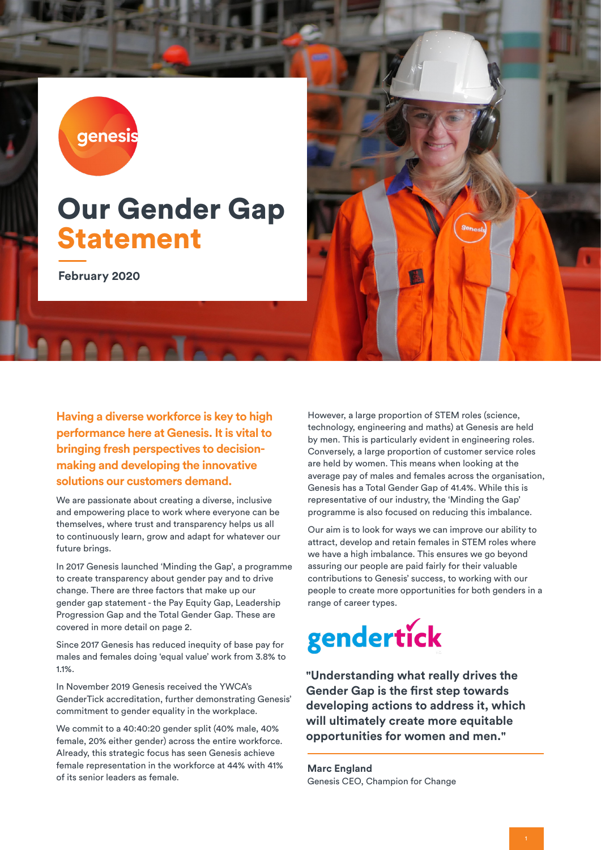genesis

## Our Gender Gap Statement

**February 2020**

**Having a diverse workforce is key to high performance here at Genesis. It is vital to bringing fresh perspectives to decisionmaking and developing the innovative solutions our customers demand.** 

We are passionate about creating a diverse, inclusive and empowering place to work where everyone can be themselves, where trust and transparency helps us all to continuously learn, grow and adapt for whatever our future brings.

In 2017 Genesis launched 'Minding the Gap', a programme to create transparency about gender pay and to drive change. There are three factors that make up our gender gap statement - the Pay Equity Gap, Leadership Progression Gap and the Total Gender Gap. These are covered in more detail on page 2.

Since 2017 Genesis has reduced inequity of base pay for males and females doing 'equal value' work from 3.8% to 1.1%.

In November 2019 Genesis received the YWCA's GenderTick accreditation, further demonstrating Genesis' commitment to gender equality in the workplace.

We commit to a 40:40:20 gender split (40% male, 40% female, 20% either gender) across the entire workforce. Already, this strategic focus has seen Genesis achieve female representation in the workforce at 44% with 41% of its senior leaders as female.



Our aim is to look for ways we can improve our ability to attract, develop and retain females in STEM roles where we have a high imbalance. This ensures we go beyond assuring our people are paid fairly for their valuable contributions to Genesis' success, to working with our people to create more opportunities for both genders in a range of career types.



**"Understanding what really drives the Gender Gap is the first step towards developing actions to address it, which will ultimately create more equitable opportunities for women and men."**

**Marc England** Genesis CEO, Champion for Change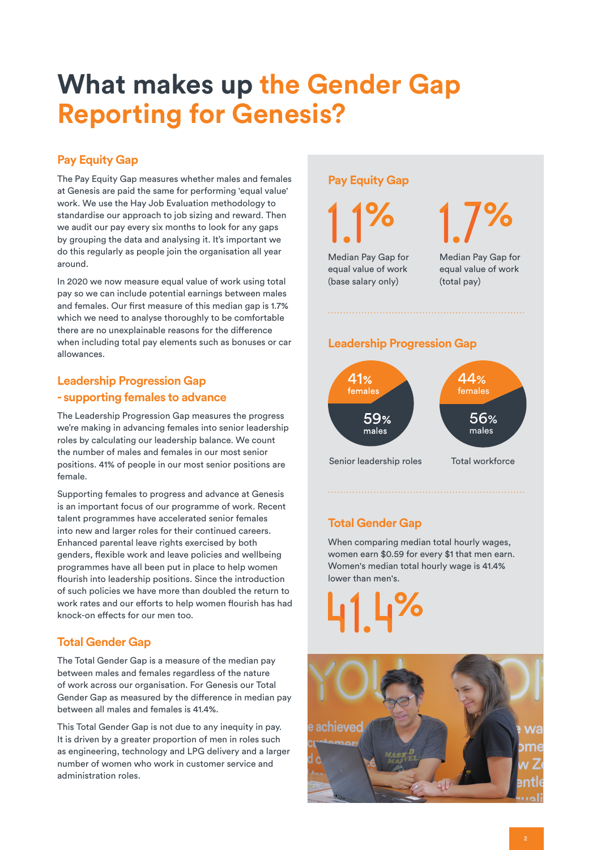## **What makes up the Gender Gap Reporting for Genesis?**

### **Pay Equity Gap**

The Pay Equity Gap measures whether males and females at Genesis are paid the same for performing 'equal value' work. We use the Hay Job Evaluation methodology to standardise our approach to job sizing and reward. Then we audit our pay every six months to look for any gaps by grouping the data and analysing it. It's important we do this regularly as people join the organisation all year around.

In 2020 we now measure equal value of work using total pay so we can include potential earnings between males and females. Our first measure of this median gap is 1.7% which we need to analyse thoroughly to be comfortable there are no unexplainable reasons for the difference when including total pay elements such as bonuses or car allowances.

#### **Leadership Progression Gap - supporting females to advance**

The Leadership Progression Gap measures the progress we're making in advancing females into senior leadership roles by calculating our leadership balance. We count the number of males and females in our most senior positions. 41% of people in our most senior positions are female.

Supporting females to progress and advance at Genesis is an important focus of our programme of work. Recent talent programmes have accelerated senior females into new and larger roles for their continued careers. Enhanced parental leave rights exercised by both genders, flexible work and leave policies and wellbeing programmes have all been put in place to help women flourish into leadership positions. Since the introduction of such policies we have more than doubled the return to work rates and our efforts to help women flourish has had knock-on effects for our men too.

#### **Total Gender Gap**

The Total Gender Gap is a measure of the median pay between males and females regardless of the nature of work across our organisation. For Genesis our Total Gender Gap as measured by the difference in median pay between all males and females is 41.4%.

This Total Gender Gap is not due to any inequity in pay. It is driven by a greater proportion of men in roles such as engineering, technology and LPG delivery and a larger number of women who work in customer service and administration roles.

#### **Pay Equity Gap**

**%**

Median Pay Gap for equal value of work (base salary only)

Median Pay Gap for equal value of work (total pay) **%**

#### **Leadership Progression Gap**



### **Total Gender Gap**

When comparing median total hourly wages, women earn \$0.59 for every \$1 that men earn. Women's median total hourly wage is 41.4% lower than men's.